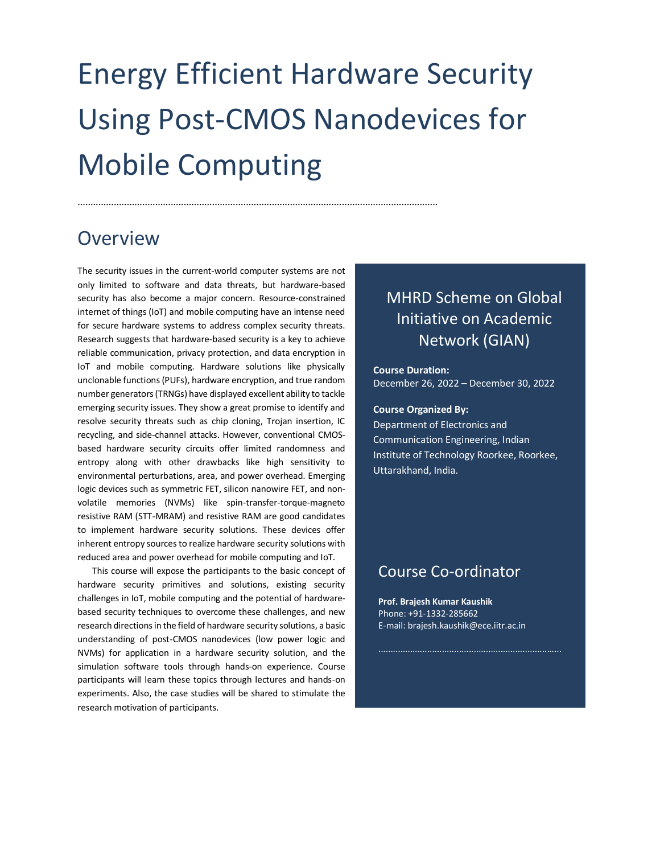# Energy Efficient Hardware Security Using Post-CMOS Nanodevices for Mobile Computing

...........................................................................................................................................

## Overview

The security issues in the current-world computer systems are not only limited to software and data threats, but hardware-based security has also become a major concern. Resource-constrained internet of things (IoT) and mobile computing have an intense need for secure hardware systems to address complex security threats. Research suggests that hardware-based security is a key to achieve reliable communication, privacy protection, and data encryption in IoT and mobile computing. Hardware solutions like physically unclonable functions (PUFs), hardware encryption, and true random number generators (TRNGs) have displayed excellent ability to tackle emerging security issues. They show a great promise to identify and resolve security threats such as chip cloning, Trojan insertion, IC recycling, and side-channel attacks. However, conventional CMOSbased hardware security circuits offer limited randomness and entropy along with other drawbacks like high sensitivity to environmental perturbations, area, and power overhead. Emerging logic devices such as symmetric FET, silicon nanowire FET, and nonvolatile memories (NVMs) like spin-transfer-torque-magneto resistive RAM (STT-MRAM) and resistive RAM are good candidates to implement hardware security solutions. These devices offer inherent entropy sources to realize hardware security solutions with reduced area and power overhead for mobile computing and IoT.

This course will expose the participants to the basic concept of hardware security primitives and solutions, existing security challenges in IoT, mobile computing and the potential of hardwarebased security techniques to overcome these challenges, and new research directions in the field of hardware security solutions, a basic understanding of post-CMOS nanodevices (low power logic and NVMs) for application in a hardware security solution, and the simulation software tools through hands-on experience. Course participants will learn these topics through lectures and hands-on experiments. Also, the case studies will be shared to stimulate the research motivation of participants.

## MHRD Scheme on Global Initiative on Academic Network (GIAN)

#### **Course Duration:**  December 26, 2022 – December 30, 2022

#### **Course Organized By:**

Department of Electronics and Communication Engineering, Indian Institute of Technology Roorkee, Roorkee, Uttarakhand, India.

### Course Co-ordinator

**Prof. Brajesh Kumar Kaushik** Phone: +91-1332-285662 E-mail: brajesh.kaushik@ece.iitr.ac.in

...........................................................................